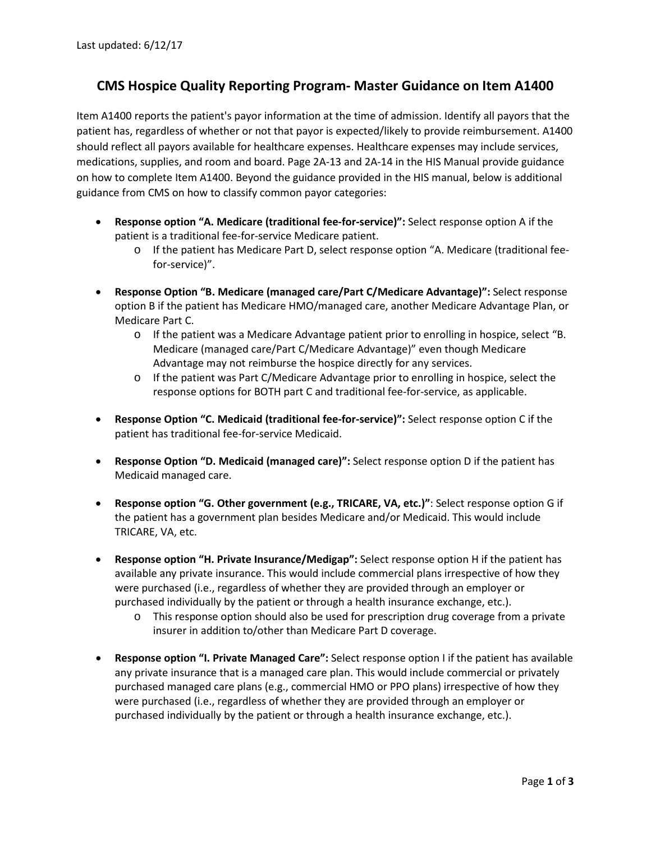## **CMS Hospice Quality Reporting Program- Master Guidance on Item A1400**

Item A1400 reports the patient's payor information at the time of admission. Identify all payors that the patient has, regardless of whether or not that payor is expected/likely to provide reimbursement. A1400 should reflect all payors available for healthcare expenses. Healthcare expenses may include services, medications, supplies, and room and board. Page 2A-13 and 2A-14 in the HIS Manual provide guidance on how to complete Item A1400. Beyond the guidance provided in the HIS manual, below is additional guidance from CMS on how to classify common payor categories:

- **Response option "A. Medicare (traditional fee-for-service)":** Select response option A if the patient is a traditional fee-for-service Medicare patient.
	- o If the patient has Medicare Part D, select response option "A. Medicare (traditional feefor-service)".
- **Response Option "B. Medicare (managed care/Part C/Medicare Advantage)":** Select response option B if the patient has Medicare HMO/managed care, another Medicare Advantage Plan, or Medicare Part C.
	- o If the patient was a Medicare Advantage patient prior to enrolling in hospice, select "B. Medicare (managed care/Part C/Medicare Advantage)" even though Medicare Advantage may not reimburse the hospice directly for any services.
	- o If the patient was Part C/Medicare Advantage prior to enrolling in hospice, select the response options for BOTH part C and traditional fee-for-service, as applicable.
- **Response Option "C. Medicaid (traditional fee-for-service)":** Select response option C if the patient has traditional fee-for-service Medicaid.
- **Response Option "D. Medicaid (managed care)":** Select response option D if the patient has Medicaid managed care.
- **Response option "G. Other government (e.g., TRICARE, VA, etc.)"**: Select response option G if the patient has a government plan besides Medicare and/or Medicaid. This would include TRICARE, VA, etc.
- **Response option "H. Private Insurance/Medigap":** Select response option H if the patient has available any private insurance. This would include commercial plans irrespective of how they were purchased (i.e., regardless of whether they are provided through an employer or purchased individually by the patient or through a health insurance exchange, etc.).
	- o This response option should also be used for prescription drug coverage from a private insurer in addition to/other than Medicare Part D coverage.
- **Response option "I. Private Managed Care":** Select response option I if the patient has available any private insurance that is a managed care plan. This would include commercial or privately purchased managed care plans (e.g., commercial HMO or PPO plans) irrespective of how they were purchased (i.e., regardless of whether they are provided through an employer or purchased individually by the patient or through a health insurance exchange, etc.).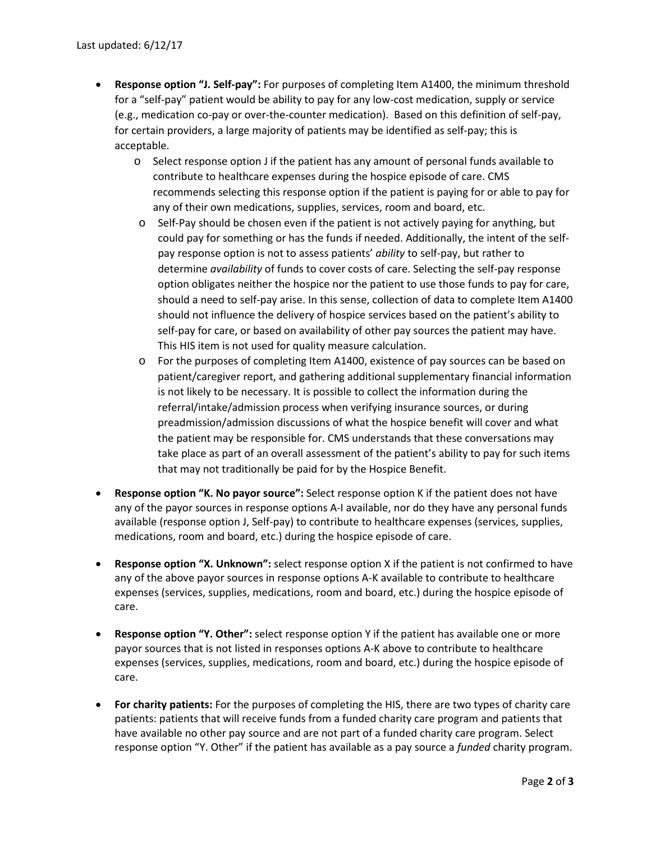- **Response option "J. Self-pay":** For purposes of completing Item A1400, the minimum threshold for a "self-pay" patient would be ability to pay for any low-cost medication, supply or service (e.g., medication co-pay or over-the-counter medication). Based on this definition of self-pay, for certain providers, a large majority of patients may be identified as self-pay; this is acceptable.
	- o Select response option J if the patient has any amount of personal funds available to contribute to healthcare expenses during the hospice episode of care. CMS recommends selecting this response option if the patient is paying for or able to pay for any of their own medications, supplies, services, room and board, etc.
	- $\circ$  Self-Pay should be chosen even if the patient is not actively paying for anything, but could pay for something or has the funds if needed. Additionally, the intent of the selfpay response option is not to assess patients' *ability* to self-pay, but rather to determine *availability* of funds to cover costs of care. Selecting the self-pay response option obligates neither the hospice nor the patient to use those funds to pay for care, should a need to self-pay arise. In this sense, collection of data to complete Item A1400 should not influence the delivery of hospice services based on the patient's ability to self-pay for care, or based on availability of other pay sources the patient may have. This HIS item is not used for quality measure calculation.
	- o For the purposes of completing Item A1400, existence of pay sources can be based on patient/caregiver report, and gathering additional supplementary financial information is not likely to be necessary. It is possible to collect the information during the referral/intake/admission process when verifying insurance sources, or during preadmission/admission discussions of what the hospice benefit will cover and what the patient may be responsible for. CMS understands that these conversations may take place as part of an overall assessment of the patient's ability to pay for such items that may not traditionally be paid for by the Hospice Benefit.
- **Response option "K. No payor source":** Select response option K if the patient does not have any of the payor sources in response options A-I available, nor do they have any personal funds available (response option J, Self-pay) to contribute to healthcare expenses (services, supplies, medications, room and board, etc.) during the hospice episode of care.
- **Response option "X. Unknown":** select response option X if the patient is not confirmed to have any of the above payor sources in response options A-K available to contribute to healthcare expenses (services, supplies, medications, room and board, etc.) during the hospice episode of care.
- **Response option "Y. Other":** select response option Y if the patient has available one or more payor sources that is not listed in responses options A-K above to contribute to healthcare expenses (services, supplies, medications, room and board, etc.) during the hospice episode of care.
- **For charity patients:** For the purposes of completing the HIS, there are two types of charity care patients: patients that will receive funds from a funded charity care program and patients that have available no other pay source and are not part of a funded charity care program. Select response option "Y. Other" if the patient has available as a pay source a *funded* charity program.